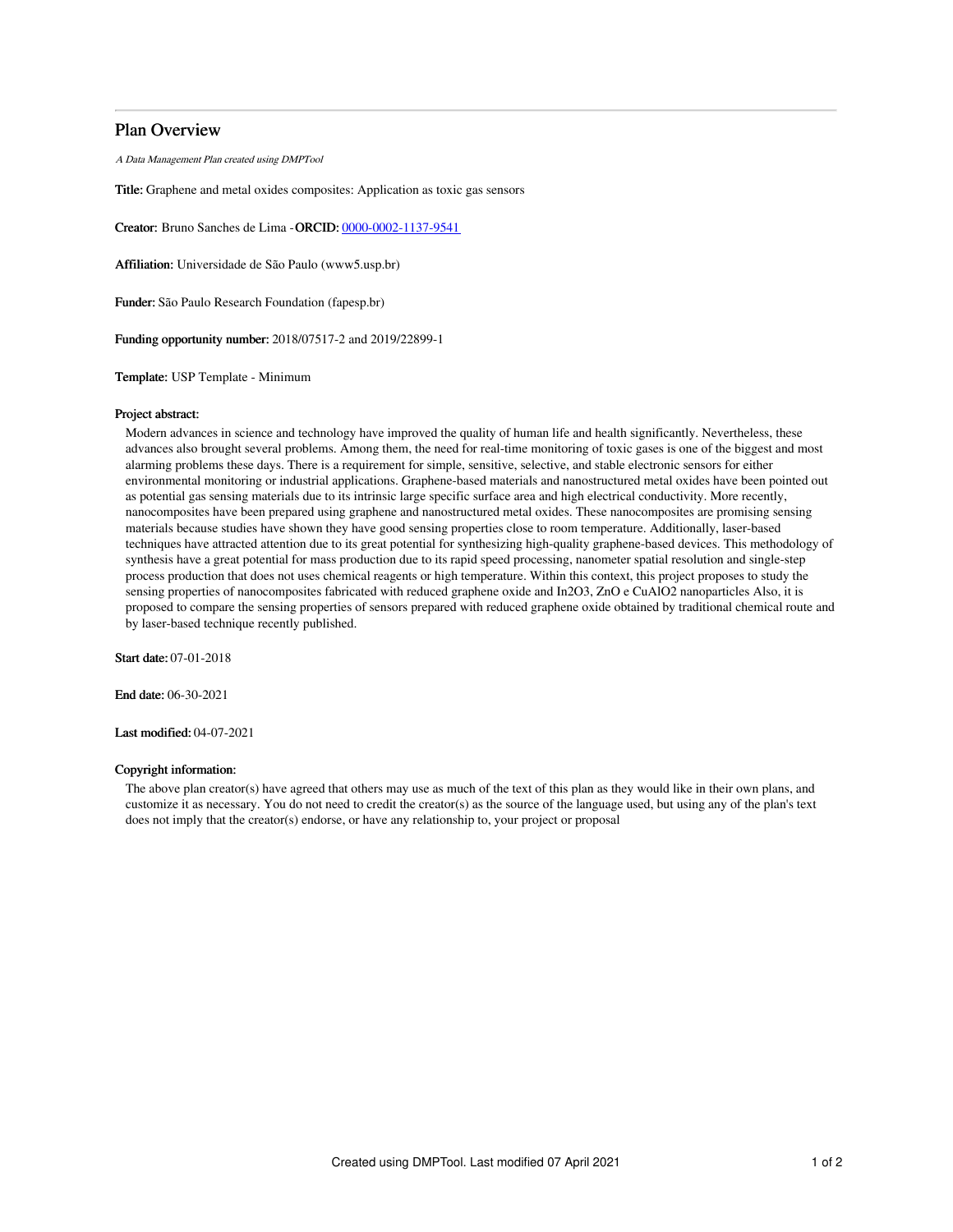# Plan Overview

A Data Management Plan created using DMPTool

Title: Graphene and metal oxides composites: Application as toxic gas sensors

Creator: Bruno Sanches de Lima -ORCID: [0000-0002-1137-9541](https://orcid.org/0000-0002-1137-9541)

Affiliation: Universidade de São Paulo (www5.usp.br)

Funder: São Paulo Research Foundation (fapesp.br)

Funding opportunity number: 2018/07517-2 and 2019/22899-1

Template: USP Template - Minimum

### Project abstract:

Modern advances in science and technology have improved the quality of human life and health significantly. Nevertheless, these advances also brought several problems. Among them, the need for real-time monitoring of toxic gases is one of the biggest and most alarming problems these days. There is a requirement for simple, sensitive, selective, and stable electronic sensors for either environmental monitoring or industrial applications. Graphene-based materials and nanostructured metal oxides have been pointed out as potential gas sensing materials due to its intrinsic large specific surface area and high electrical conductivity. More recently, nanocomposites have been prepared using graphene and nanostructured metal oxides. These nanocomposites are promising sensing materials because studies have shown they have good sensing properties close to room temperature. Additionally, laser-based techniques have attracted attention due to its great potential for synthesizing high-quality graphene-based devices. This methodology of synthesis have a great potential for mass production due to its rapid speed processing, nanometer spatial resolution and single-step process production that does not uses chemical reagents or high temperature. Within this context, this project proposes to study the sensing properties of nanocomposites fabricated with reduced graphene oxide and In2O3, ZnO e CuAlO2 nanoparticles Also, it is proposed to compare the sensing properties of sensors prepared with reduced graphene oxide obtained by traditional chemical route and by laser-based technique recently published.

Start date: 07-01-2018

End date: 06-30-2021

Last modified: 04-07-2021

### Copyright information:

The above plan creator(s) have agreed that others may use as much of the text of this plan as they would like in their own plans, and customize it as necessary. You do not need to credit the creator(s) as the source of the language used, but using any of the plan's text does not imply that the creator(s) endorse, or have any relationship to, your project or proposal